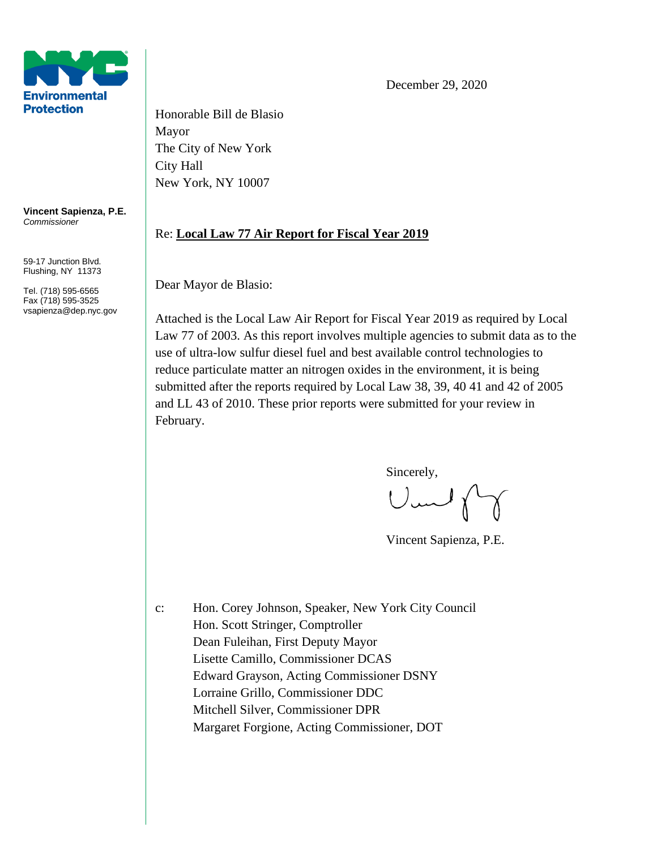

**Vincent Sapienza, P.E.** *Commissioner*

59-17 Junction Blvd. Flushing, NY 11373

Tel. (718) 595-6565 Fax (718) 595-3525 vsapienza@dep.nyc.gov Honorable Bill de Blasio Mayor The City of New York City Hall New York, NY 10007

## Re: **Local Law 77 Air Report for Fiscal Year 2019**

Dear Mayor de Blasio:

Attached is the Local Law Air Report for Fiscal Year 2019 as required by Local Law 77 of 2003. As this report involves multiple agencies to submit data as to the use of ultra-low sulfur diesel fuel and best available control technologies to reduce particulate matter an nitrogen oxides in the environment, it is being submitted after the reports required by Local Law 38, 39, 40 41 and 42 of 2005 and LL 43 of 2010. These prior reports were submitted for your review in February.

Sincerely,<br>Um/

Vincent Sapienza, P.E.

c: Hon. Corey Johnson, Speaker, New York City Council Hon. Scott Stringer, Comptroller Dean Fuleihan, First Deputy Mayor Lisette Camillo, Commissioner DCAS Edward Grayson, Acting Commissioner DSNY Lorraine Grillo, Commissioner DDC Mitchell Silver, Commissioner DPR Margaret Forgione, Acting Commissioner, DOT

December 29, 2020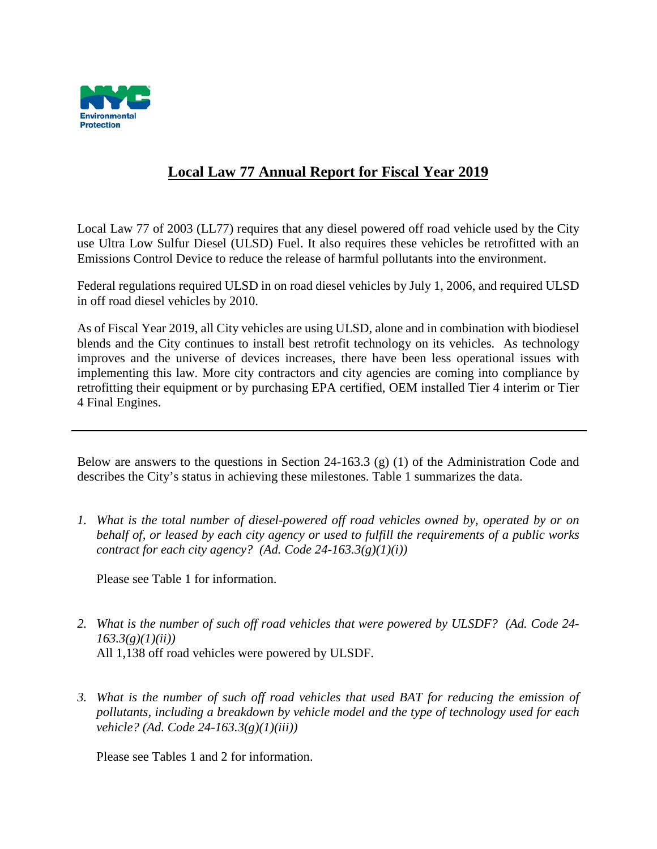

## **Local Law 77 Annual Report for Fiscal Year 2019**

Local Law 77 of 2003 (LL77) requires that any diesel powered off road vehicle used by the City use Ultra Low Sulfur Diesel (ULSD) Fuel. It also requires these vehicles be retrofitted with an Emissions Control Device to reduce the release of harmful pollutants into the environment.

Federal regulations required ULSD in on road diesel vehicles by July 1, 2006, and required ULSD in off road diesel vehicles by 2010.

As of Fiscal Year 2019, all City vehicles are using ULSD, alone and in combination with biodiesel blends and the City continues to install best retrofit technology on its vehicles. As technology improves and the universe of devices increases, there have been less operational issues with implementing this law. More city contractors and city agencies are coming into compliance by retrofitting their equipment or by purchasing EPA certified, OEM installed Tier 4 interim or Tier 4 Final Engines.

Below are answers to the questions in Section 24-163.3 (g) (1) of the Administration Code and describes the City's status in achieving these milestones. Table 1 summarizes the data.

*1. What is the total number of diesel-powered off road vehicles owned by, operated by or on behalf of, or leased by each city agency or used to fulfill the requirements of a public works contract for each city agency? (Ad. Code 24-163.3(g)(1)(i))*

Please see Table 1 for information.

- *2. What is the number of such off road vehicles that were powered by ULSDF? (Ad. Code 24- 163.3(g)(1)(ii))* All 1,138 off road vehicles were powered by ULSDF.
- *3. What is the number of such off road vehicles that used BAT for reducing the emission of pollutants, including a breakdown by vehicle model and the type of technology used for each vehicle? (Ad. Code 24-163.3(g)(1)(iii))*

Please see Tables 1 and 2 for information.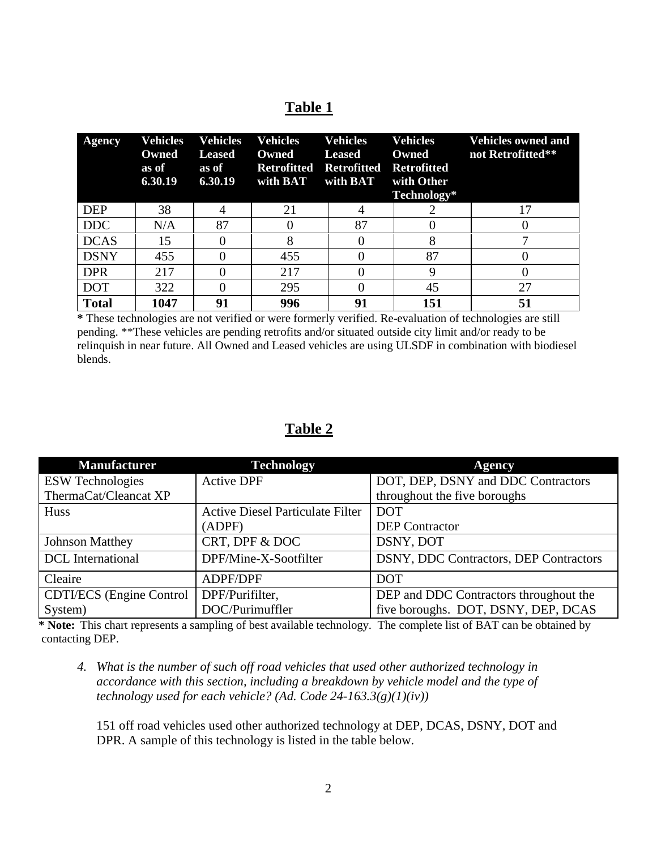## **Table 1**

| <b>Agency</b> | Vehicles<br>Owned<br>as of<br>6.30.19 | Vehicles<br><b>Leased</b><br>as of<br>6.30.19 | <b>Vehicles</b><br>Owned<br><b>Retrofitted</b><br>with BAT | <b>Vehicles</b><br><b>Leased</b><br>Retrofitted<br>with BAT | <b>Vehicles</b><br>Owned<br><b>Retrofitted</b><br>with Other<br>Technology* | <b>Vehicles owned and</b><br>not Retrofitted** |
|---------------|---------------------------------------|-----------------------------------------------|------------------------------------------------------------|-------------------------------------------------------------|-----------------------------------------------------------------------------|------------------------------------------------|
| <b>DEP</b>    | 38                                    |                                               | 21                                                         |                                                             |                                                                             |                                                |
| <b>DDC</b>    | N/A                                   | 87                                            |                                                            | 87                                                          |                                                                             |                                                |
| <b>DCAS</b>   | 15                                    |                                               | 8                                                          |                                                             |                                                                             |                                                |
| <b>DSNY</b>   | 455                                   |                                               | 455                                                        |                                                             | 87                                                                          |                                                |
| <b>DPR</b>    | 217                                   |                                               | 217                                                        |                                                             |                                                                             |                                                |
| <b>DOT</b>    | 322                                   |                                               | 295                                                        |                                                             | 45                                                                          | 27                                             |
| <b>Total</b>  | 1047                                  | 91                                            | 996                                                        | 91                                                          | 151                                                                         | 51                                             |

**\*** These technologies are not verified or were formerly verified. Re-evaluation of technologies are still pending. \*\*These vehicles are pending retrofits and/or situated outside city limit and/or ready to be relinquish in near future. All Owned and Leased vehicles are using ULSDF in combination with biodiesel blends.

## **Table 2**

| <b>Manufacturer</b>             | <b>Technology</b>                       | <b>Agency</b>                          |  |
|---------------------------------|-----------------------------------------|----------------------------------------|--|
| <b>ESW Technologies</b>         | <b>Active DPF</b>                       | DOT, DEP, DSNY and DDC Contractors     |  |
| ThermaCat/Cleancat XP           |                                         | throughout the five boroughs           |  |
| Huss                            | <b>Active Diesel Particulate Filter</b> | <b>DOT</b>                             |  |
|                                 | (ADPF)                                  | <b>DEP</b> Contractor                  |  |
| <b>Johnson Matthey</b>          | CRT, DPF & DOC                          | DSNY, DOT                              |  |
| <b>DCL</b> International        | DPF/Mine-X-Sootfilter                   | DSNY, DDC Contractors, DEP Contractors |  |
| Cleaire                         | ADPF/DPF                                | <b>DOT</b>                             |  |
| <b>CDTI/ECS</b> (Engine Control | DPF/Purifilter,                         | DEP and DDC Contractors throughout the |  |
| System)                         | DOC/Purimuffler                         | five boroughs. DOT, DSNY, DEP, DCAS    |  |

**\* Note:** This chart represents a sampling of best available technology. The complete list of BAT can be obtained by contacting DEP.

*4. What is the number of such off road vehicles that used other authorized technology in accordance with this section, including a breakdown by vehicle model and the type of technology used for each vehicle? (Ad. Code 24-163.3(g)(1)(iv))*

151 off road vehicles used other authorized technology at DEP, DCAS, DSNY, DOT and DPR. A sample of this technology is listed in the table below.